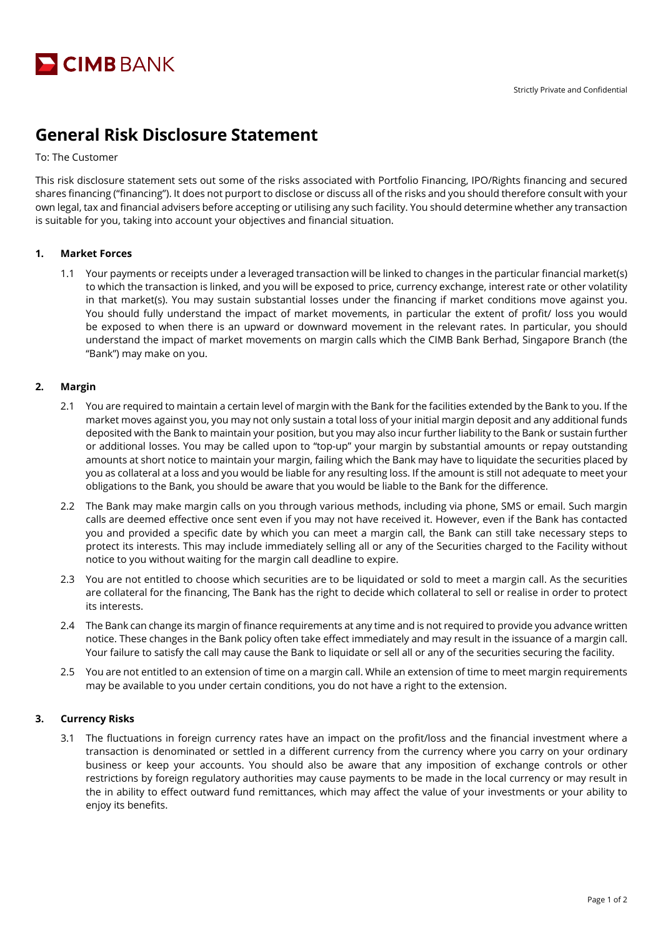

# **General Risk Disclosure Statement**

To: The Customer

This risk disclosure statement sets out some of the risks associated with Portfolio Financing, IPO/Rights financing and secured shares financing ("financing"). It does not purport to disclose or discuss all of the risks and you should therefore consult with your own legal, tax and financial advisers before accepting or utilising any such facility. You should determine whether any transaction is suitable for you, taking into account your objectives and financial situation.

#### **1. Market Forces**

1.1 Your payments or receipts under a leveraged transaction will be linked to changes in the particular financial market(s) to which the transaction is linked, and you will be exposed to price, currency exchange, interest rate or other volatility in that market(s). You may sustain substantial losses under the financing if market conditions move against you. You should fully understand the impact of market movements, in particular the extent of profit/ loss you would be exposed to when there is an upward or downward movement in the relevant rates. In particular, you should understand the impact of market movements on margin calls which the CIMB Bank Berhad, Singapore Branch (the "Bank") may make on you.

## **2. Margin**

- 2.1 You are required to maintain a certain level of margin with the Bank for the facilities extended by the Bank to you. If the market moves against you, you may not only sustain a total loss of your initial margin deposit and any additional funds deposited with the Bank to maintain your position, but you may also incur further liability to the Bank or sustain further or additional losses. You may be called upon to "top-up" your margin by substantial amounts or repay outstanding amounts at short notice to maintain your margin, failing which the Bank may have to liquidate the securities placed by you as collateral at a loss and you would be liable for any resulting loss. If the amount is still not adequate to meet your obligations to the Bank, you should be aware that you would be liable to the Bank for the difference.
- 2.2 The Bank may make margin calls on you through various methods, including via phone, SMS or email. Such margin calls are deemed effective once sent even if you may not have received it. However, even if the Bank has contacted you and provided a specific date by which you can meet a margin call, the Bank can still take necessary steps to protect its interests. This may include immediately selling all or any of the Securities charged to the Facility without notice to you without waiting for the margin call deadline to expire.
- 2.3 You are not entitled to choose which securities are to be liquidated or sold to meet a margin call. As the securities are collateral for the financing, The Bank has the right to decide which collateral to sell or realise in order to protect its interests.
- 2.4 The Bank can change its margin of finance requirements at any time and is not required to provide you advance written notice. These changes in the Bank policy often take effect immediately and may result in the issuance of a margin call. Your failure to satisfy the call may cause the Bank to liquidate or sell all or any of the securities securing the facility.
- 2.5 You are not entitled to an extension of time on a margin call. While an extension of time to meet margin requirements may be available to you under certain conditions, you do not have a right to the extension.

#### **3. Currency Risks**

3.1 The fluctuations in foreign currency rates have an impact on the profit/loss and the financial investment where a transaction is denominated or settled in a different currency from the currency where you carry on your ordinary business or keep your accounts. You should also be aware that any imposition of exchange controls or other restrictions by foreign regulatory authorities may cause payments to be made in the local currency or may result in the in ability to effect outward fund remittances, which may affect the value of your investments or your ability to enjoy its benefits.